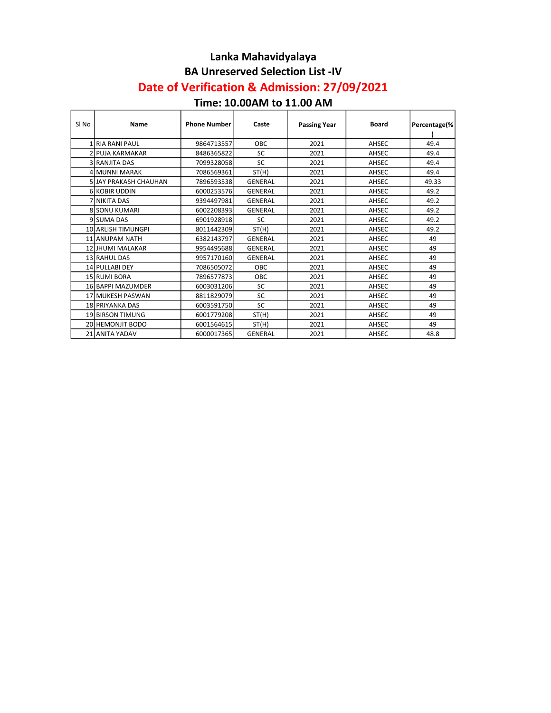#### Lanka Mahavidyalaya BA Unreserved Selection List -IV

# Date of Verification & Admission: 27/09/2021

### Time: 10.00AM to 11.00 AM

| SI <sub>No</sub> | Name                    | <b>Phone Number</b> | Caste          | <b>Passing Year</b> | <b>Board</b> | Percentage(% |
|------------------|-------------------------|---------------------|----------------|---------------------|--------------|--------------|
|                  | IRIA RANI PAUL          | 9864713557          | OBC            | 2021                | AHSEC        | 49.4         |
|                  |                         |                     |                |                     |              |              |
|                  | 2 IPUJA KARMAKAR        | 8486365822          | SC             | 2021                | AHSEC        | 49.4         |
|                  | 3 IRANJITA DAS          | 7099328058          | <b>SC</b>      | 2021                | AHSEC        | 49.4         |
|                  | 4 MUNNI MARAK           | 7086569361          | ST(H)          | 2021                | AHSEC        | 49.4         |
|                  | 5 JJAY PRAKASH CHAUHAN  | 7896593538          | <b>GENERAL</b> | 2021                | AHSEC        | 49.33        |
|                  | 6 KOBIR UDDIN           | 6000253576          | <b>GENERAL</b> | 2021                | AHSEC        | 49.2         |
|                  | 7 İNIKITA DAS           | 9394497981          | <b>GENERAL</b> | 2021                | AHSEC        | 49.2         |
|                  | 8 SONU KUMARI           | 6002208393          | <b>GENERAL</b> | 2021                | AHSEC        | 49.2         |
|                  | 9 SUMA DAS              | 6901928918          | <b>SC</b>      | 2021                | AHSEC        | 49.2         |
|                  | 10 ARLISH TIMUNGPI      | 8011442309          | ST(H)          | 2021                | AHSEC        | 49.2         |
|                  | 11 ANUPAM NATH          | 6382143797          | <b>GENERAL</b> | 2021                | AHSEC        | 49           |
|                  | 12 JHUMI MALAKAR        | 9954495688          | <b>GENERAL</b> | 2021                | AHSEC        | 49           |
|                  | 13 RAHUL DAS            | 9957170160          | <b>GENERAL</b> | 2021                | AHSEC        | 49           |
|                  | 14 PULLABI DEY          | 7086505072          | OBC            | 2021                | AHSEC        | 49           |
|                  | 15 RUMI BORA            | 7896577873          | OBC            | 2021                | AHSEC        | 49           |
|                  | 16 BAPPI MAZUMDER       | 6003031206          | SC             | 2021                | AHSEC        | 49           |
|                  | 17 MUKESH PASWAN        | 8811829079          | <b>SC</b>      | 2021                | AHSEC        | 49           |
|                  | 18 PRIYANKA DAS         | 6003591750          | <b>SC</b>      | 2021                | AHSEC        | 49           |
|                  | 19 BIRSON TIMUNG        | 6001779208          | ST(H)          | 2021                | AHSEC        | 49           |
|                  | <b>20 HEMONJIT BODO</b> | 6001564615          | ST(H)          | 2021                | AHSEC        | 49           |
|                  | 21 ANITA YADAV          | 6000017365          | <b>GENERAL</b> | 2021                | AHSEC        | 48.8         |